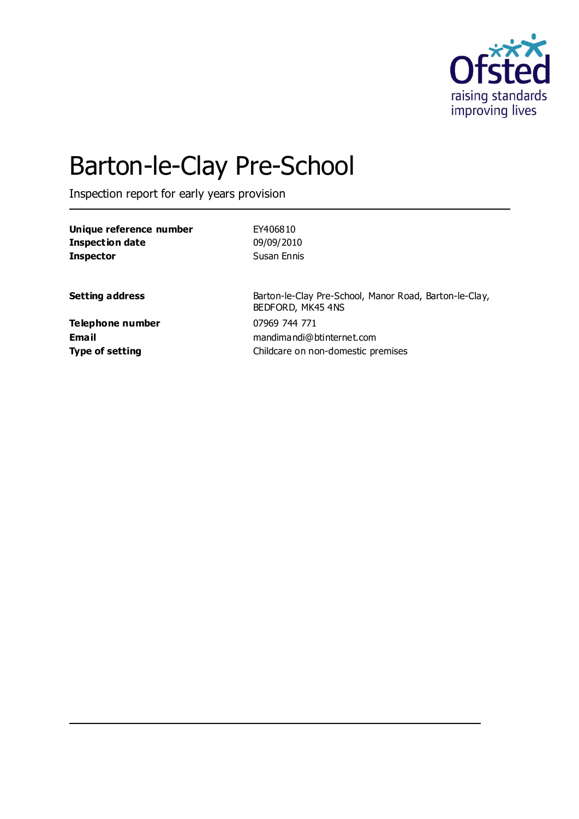

# Barton-le-Clay Pre-School

Inspection report for early years provision

| Unique reference number | EY406810                                                                    |
|-------------------------|-----------------------------------------------------------------------------|
| <b>Inspection date</b>  | 09/09/2010                                                                  |
| <b>Inspector</b>        | Susan Ennis                                                                 |
| <b>Setting address</b>  | Barton-le-Clay Pre-School, Manor Road, Barton-le-Clay,<br>BEDFORD, MK45 4NS |
| Telephone number        | 07969 744 771                                                               |
| Email                   | mandimandi@btinternet.com                                                   |
| <b>Type of setting</b>  | Childcare on non-domestic premises                                          |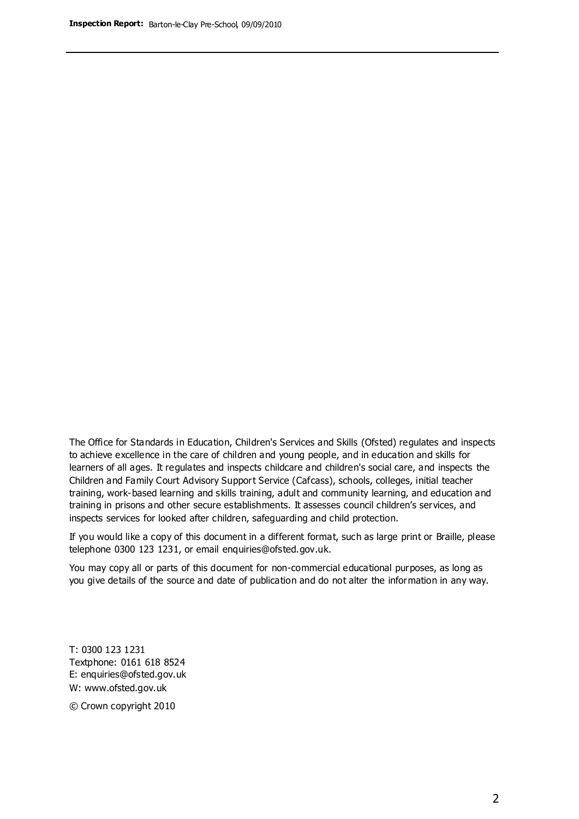The Office for Standards in Education, Children's Services and Skills (Ofsted) regulates and inspects to achieve excellence in the care of children and young people, and in education and skills for learners of all ages. It regulates and inspects childcare and children's social care, and inspects the Children and Family Court Advisory Support Service (Cafcass), schools, colleges, initial teacher training, work-based learning and skills training, adult and community learning, and education and training in prisons and other secure establishments. It assesses council children's services, and inspects services for looked after children, safeguarding and child protection.

If you would like a copy of this document in a different format, such as large print or Braille, please telephone 0300 123 1231, or email enquiries@ofsted.gov.uk.

You may copy all or parts of this document for non-commercial educational purposes, as long as you give details of the source and date of publication and do not alter the information in any way.

T: 0300 123 1231 Textphone: 0161 618 8524 E: enquiries@ofsted.gov.uk W: [www.ofsted.gov.uk](http://www.ofsted.gov.uk/)

© Crown copyright 2010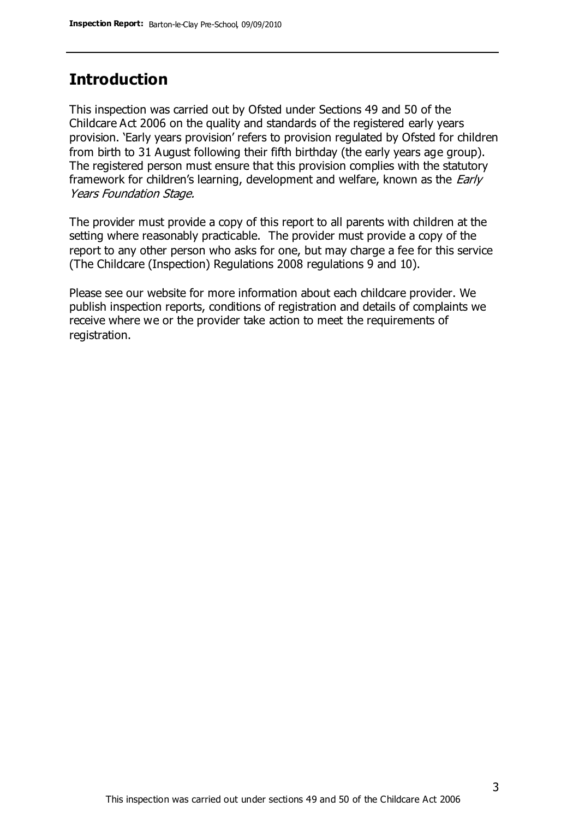## **Introduction**

This inspection was carried out by Ofsted under Sections 49 and 50 of the Childcare Act 2006 on the quality and standards of the registered early years provision. 'Early years provision' refers to provision regulated by Ofsted for children from birth to 31 August following their fifth birthday (the early years age group). The registered person must ensure that this provision complies with the statutory framework for children's learning, development and welfare, known as the *Early* Years Foundation Stage.

The provider must provide a copy of this report to all parents with children at the setting where reasonably practicable. The provider must provide a copy of the report to any other person who asks for one, but may charge a fee for this service (The Childcare (Inspection) Regulations 2008 regulations 9 and 10).

Please see our website for more information about each childcare provider. We publish inspection reports, conditions of registration and details of complaints we receive where we or the provider take action to meet the requirements of registration.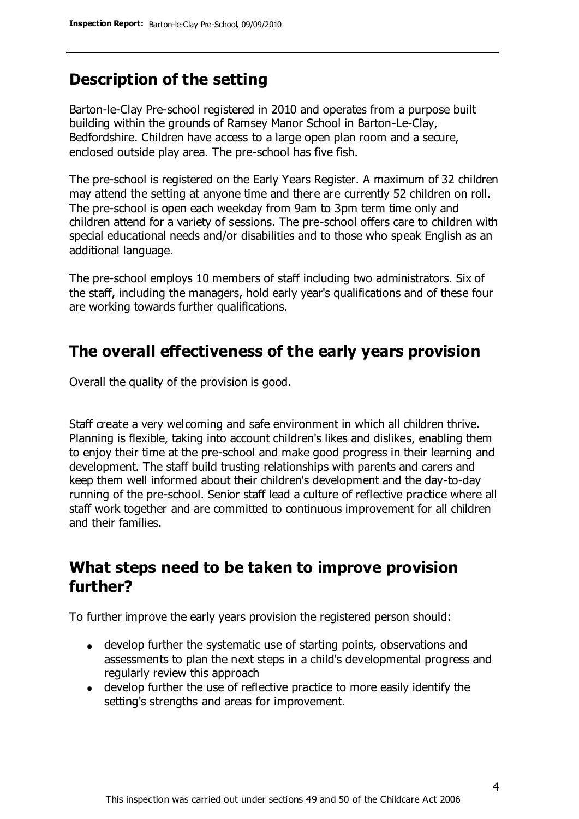# **Description of the setting**

Barton-le-Clay Pre-school registered in 2010 and operates from a purpose built building within the grounds of Ramsey Manor School in Barton-Le-Clay, Bedfordshire. Children have access to a large open plan room and a secure, enclosed outside play area. The pre-school has five fish.

The pre-school is registered on the Early Years Register. A maximum of 32 children may attend the setting at anyone time and there are currently 52 children on roll. The pre-school is open each weekday from 9am to 3pm term time only and children attend for a variety of sessions. The pre-school offers care to children with special educational needs and/or disabilities and to those who speak English as an additional language.

The pre-school employs 10 members of staff including two administrators. Six of the staff, including the managers, hold early year's qualifications and of these four are working towards further qualifications.

### **The overall effectiveness of the early years provision**

Overall the quality of the provision is good.

Staff create a very welcoming and safe environment in which all children thrive. Planning is flexible, taking into account children's likes and dislikes, enabling them to enjoy their time at the pre-school and make good progress in their learning and development. The staff build trusting relationships with parents and carers and keep them well informed about their children's development and the day-to-day running of the pre-school. Senior staff lead a culture of reflective practice where all staff work together and are committed to continuous improvement for all children and their families.

## **What steps need to be taken to improve provision further?**

To further improve the early years provision the registered person should:

- develop further the systematic use of starting points, observations and assessments to plan the next steps in a child's developmental progress and regularly review this approach
- develop further the use of reflective practice to more easily identify the setting's strengths and areas for improvement.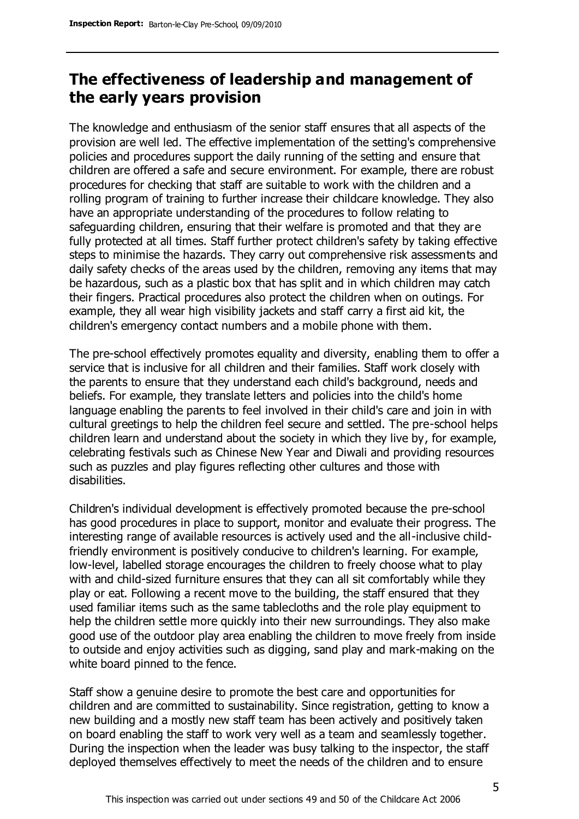# **The effectiveness of leadership and management of the early years provision**

The knowledge and enthusiasm of the senior staff ensures that all aspects of the provision are well led. The effective implementation of the setting's comprehensive policies and procedures support the daily running of the setting and ensure that children are offered a safe and secure environment. For example, there are robust procedures for checking that staff are suitable to work with the children and a rolling program of training to further increase their childcare knowledge. They also have an appropriate understanding of the procedures to follow relating to safeguarding children, ensuring that their welfare is promoted and that they are fully protected at all times. Staff further protect children's safety by taking effective steps to minimise the hazards. They carry out comprehensive risk assessments and daily safety checks of the areas used by the children, removing any items that may be hazardous, such as a plastic box that has split and in which children may catch their fingers. Practical procedures also protect the children when on outings. For example, they all wear high visibility jackets and staff carry a first aid kit, the children's emergency contact numbers and a mobile phone with them.

The pre-school effectively promotes equality and diversity, enabling them to offer a service that is inclusive for all children and their families. Staff work closely with the parents to ensure that they understand each child's background, needs and beliefs. For example, they translate letters and policies into the child's home language enabling the parents to feel involved in their child's care and join in with cultural greetings to help the children feel secure and settled. The pre-school helps children learn and understand about the society in which they live by, for example, celebrating festivals such as Chinese New Year and Diwali and providing resources such as puzzles and play figures reflecting other cultures and those with disabilities.

Children's individual development is effectively promoted because the pre-school has good procedures in place to support, monitor and evaluate their progress. The interesting range of available resources is actively used and the all-inclusive childfriendly environment is positively conducive to children's learning. For example, low-level, labelled storage encourages the children to freely choose what to play with and child-sized furniture ensures that they can all sit comfortably while they play or eat. Following a recent move to the building, the staff ensured that they used familiar items such as the same tablecloths and the role play equipment to help the children settle more quickly into their new surroundings. They also make good use of the outdoor play area enabling the children to move freely from inside to outside and enjoy activities such as digging, sand play and mark-making on the white board pinned to the fence.

Staff show a genuine desire to promote the best care and opportunities for children and are committed to sustainability. Since registration, getting to know a new building and a mostly new staff team has been actively and positively taken on board enabling the staff to work very well as a team and seamlessly together. During the inspection when the leader was busy talking to the inspector, the staff deployed themselves effectively to meet the needs of the children and to ensure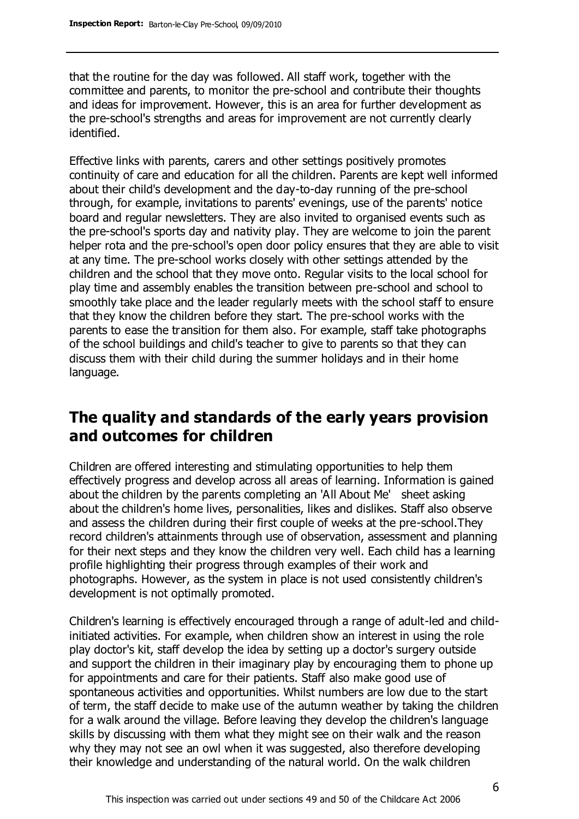that the routine for the day was followed. All staff work, together with the committee and parents, to monitor the pre-school and contribute their thoughts and ideas for improvement. However, this is an area for further development as the pre-school's strengths and areas for improvement are not currently clearly identified.

Effective links with parents, carers and other settings positively promotes continuity of care and education for all the children. Parents are kept well informed about their child's development and the day-to-day running of the pre-school through, for example, invitations to parents' evenings, use of the parents' notice board and regular newsletters. They are also invited to organised events such as the pre-school's sports day and nativity play. They are welcome to join the parent helper rota and the pre-school's open door policy ensures that they are able to visit at any time. The pre-school works closely with other settings attended by the children and the school that they move onto. Regular visits to the local school for play time and assembly enables the transition between pre-school and school to smoothly take place and the leader regularly meets with the school staff to ensure that they know the children before they start. The pre-school works with the parents to ease the transition for them also. For example, staff take photographs of the school buildings and child's teacher to give to parents so that they can discuss them with their child during the summer holidays and in their home language.

# **The quality and standards of the early years provision and outcomes for children**

Children are offered interesting and stimulating opportunities to help them effectively progress and develop across all areas of learning. Information is gained about the children by the parents completing an 'All About Me' sheet asking about the children's home lives, personalities, likes and dislikes. Staff also observe and assess the children during their first couple of weeks at the pre-school.They record children's attainments through use of observation, assessment and planning for their next steps and they know the children very well. Each child has a learning profile highlighting their progress through examples of their work and photographs. However, as the system in place is not used consistently children's development is not optimally promoted.

Children's learning is effectively encouraged through a range of adult-led and childinitiated activities. For example, when children show an interest in using the role play doctor's kit, staff develop the idea by setting up a doctor's surgery outside and support the children in their imaginary play by encouraging them to phone up for appointments and care for their patients. Staff also make good use of spontaneous activities and opportunities. Whilst numbers are low due to the start of term, the staff decide to make use of the autumn weather by taking the children for a walk around the village. Before leaving they develop the children's language skills by discussing with them what they might see on their walk and the reason why they may not see an owl when it was suggested, also therefore developing their knowledge and understanding of the natural world. On the walk children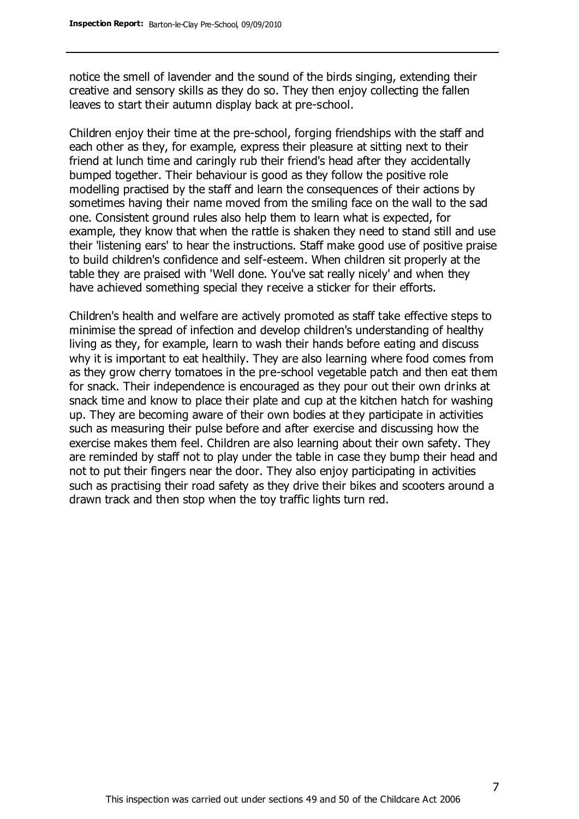notice the smell of lavender and the sound of the birds singing, extending their creative and sensory skills as they do so. They then enjoy collecting the fallen leaves to start their autumn display back at pre-school.

Children enjoy their time at the pre-school, forging friendships with the staff and each other as they, for example, express their pleasure at sitting next to their friend at lunch time and caringly rub their friend's head after they accidentally bumped together. Their behaviour is good as they follow the positive role modelling practised by the staff and learn the consequences of their actions by sometimes having their name moved from the smiling face on the wall to the sad one. Consistent ground rules also help them to learn what is expected, for example, they know that when the rattle is shaken they need to stand still and use their 'listening ears' to hear the instructions. Staff make good use of positive praise to build children's confidence and self-esteem. When children sit properly at the table they are praised with 'Well done. You've sat really nicely' and when they have achieved something special they receive a sticker for their efforts.

Children's health and welfare are actively promoted as staff take effective steps to minimise the spread of infection and develop children's understanding of healthy living as they, for example, learn to wash their hands before eating and discuss why it is important to eat healthily. They are also learning where food comes from as they grow cherry tomatoes in the pre-school vegetable patch and then eat them for snack. Their independence is encouraged as they pour out their own drinks at snack time and know to place their plate and cup at the kitchen hatch for washing up. They are becoming aware of their own bodies at they participate in activities such as measuring their pulse before and after exercise and discussing how the exercise makes them feel. Children are also learning about their own safety. They are reminded by staff not to play under the table in case they bump their head and not to put their fingers near the door. They also enjoy participating in activities such as practising their road safety as they drive their bikes and scooters around a drawn track and then stop when the toy traffic lights turn red.